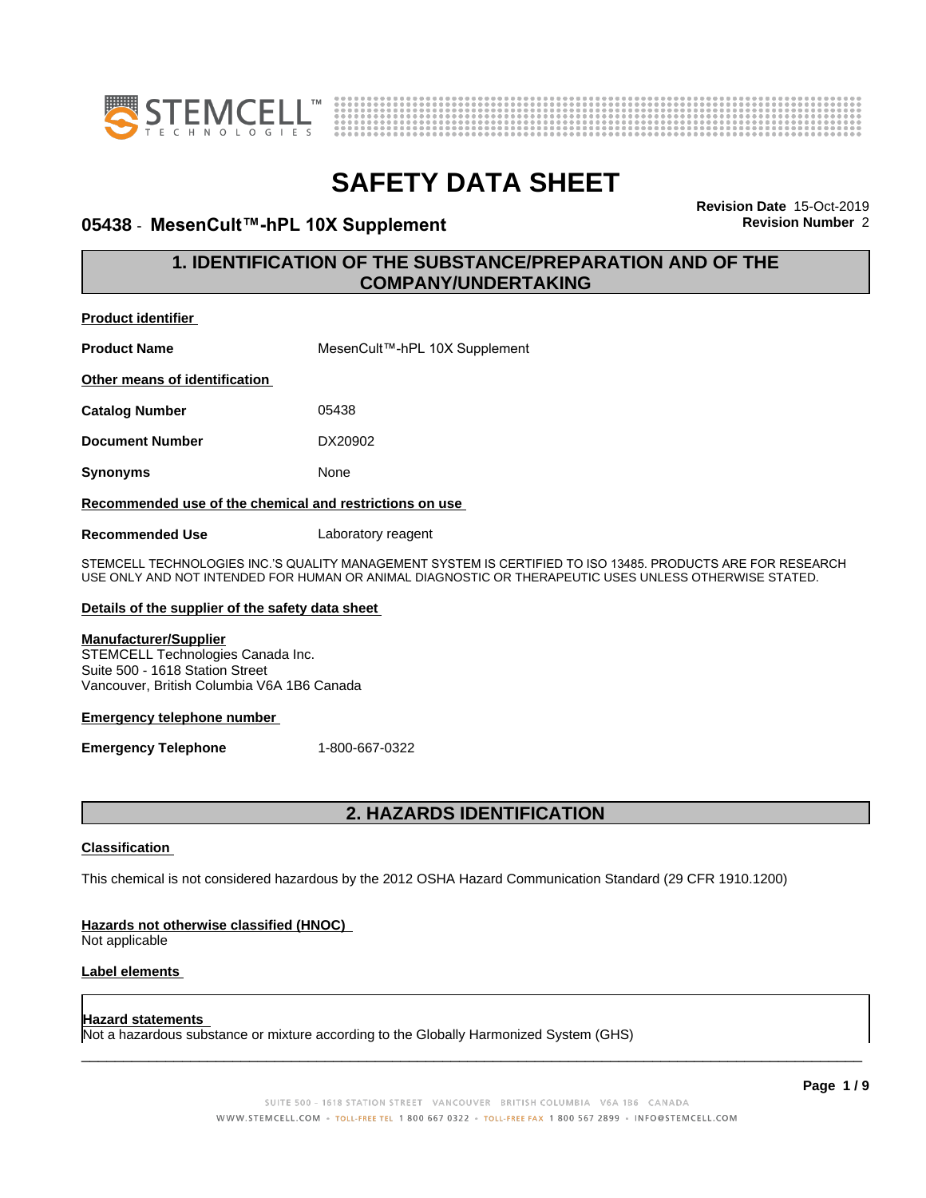



### **05438 ⋅ MesenCult™-hPL 10X Supplement Revision** Number 2

**Revision Date** 15-Oct-2019

### **1. IDENTIFICATION OF THE SUBSTANCE/PREPARATION AND OF THE COMPANY/UNDERTAKING**

| <b>Product identifier</b>                               |                               |
|---------------------------------------------------------|-------------------------------|
| <b>Product Name</b>                                     | MesenCult™-hPL 10X Supplement |
| Other means of identification                           |                               |
| <b>Catalog Number</b>                                   | 05438                         |
| <b>Document Number</b>                                  | DX20902                       |
| <b>Synonyms</b>                                         | None                          |
| Recommended use of the chemical and restrictions on use |                               |
| <b>Recommended Use</b>                                  | Laboratory reagent            |

STEMCELL TECHNOLOGIES INC.'S QUALITY MANAGEMENT SYSTEM IS CERTIFIED TO ISO 13485. PRODUCTS ARE FOR RESEARCH USE ONLY AND NOT INTENDED FOR HUMAN OR ANIMAL DIAGNOSTIC OR THERAPEUTIC USES UNLESS OTHERWISE STATED.

### **Details of the supplier of the safety data sheet**

### **Manufacturer/Supplier**

STEMCELL Technologies Canada Inc. Suite 500 - 1618 Station Street Vancouver, British Columbia V6A 1B6 Canada

### **Emergency telephone number**

**Emergency Telephone** 1-800-667-0322

### **2. HAZARDS IDENTIFICATION**

### **Classification**

This chemical is not considered hazardous by the 2012 OSHA Hazard Communication Standard (29 CFR 1910.1200)

### **Hazards not otherwise classified (HNOC)**

Not applicable

### **Label elements**

#### **Hazard statements**

Not a hazardous substance or mixture according to the Globally Harmonized System (GHS)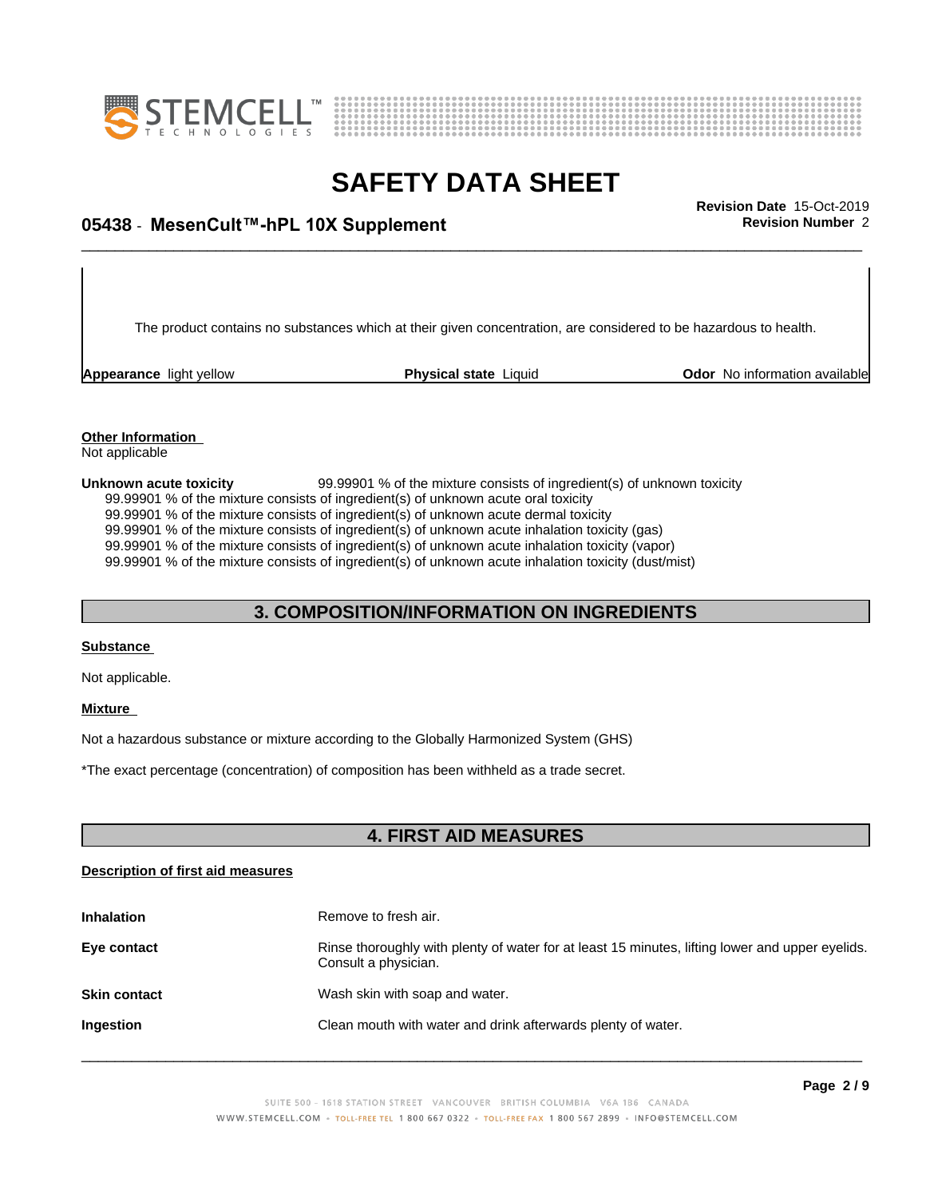



# \_\_\_\_\_\_\_\_\_\_\_\_\_\_\_\_\_\_\_\_\_\_\_\_\_\_\_\_\_\_\_\_\_\_\_\_\_\_\_\_\_\_\_\_\_\_\_\_\_\_\_\_\_\_\_\_\_\_\_\_\_\_\_\_\_\_\_\_\_\_\_\_\_\_\_\_\_\_\_\_\_\_\_\_\_\_\_\_\_\_\_\_\_ **Revision Date** 15-Oct-2019 **05438** - **MesenCult™-hPL10XSupplement Revision Number** 2

The product contains no substances which at their given concentration, are considered to be hazardous to health.

**Appearance** light yellow **Physical state** Liquid **Odor No information available Appearance** light yellow

#### **Other Information** Not applicable

**Unknown acute toxicity** 99.99901 % of the mixtureconsists of ingredient(s) of unknown toxicity 99.99901 % of the mixture consists of ingredient(s) of unknown acute oral toxicity 99.99901 % of the mixture consists of ingredient(s) of unknown acute dermal toxicity 99.99901 % of the mixture consists of ingredient(s) of unknown acute inhalation toxicity (gas) 99.99901 % of the mixture consists of ingredient(s) of unknown acute inhalation toxicity (vapor) 99.99901 % of the mixture consists of ingredient(s) of unknown acute inhalation toxicity (dust/mist)

### **3. COMPOSITION/INFORMATION ON INGREDIENTS**

### **Substance**

Not applicable.

### **Mixture**

Not a hazardous substance or mixture according to the Globally Harmonized System (GHS)

\*The exact percentage (concentration) ofcomposition has been withheld as a trade secret.

### **4. FIRST AID MEASURES**

### **Description of first aid measures**

| <b>Inhalation</b>   | Remove to fresh air.                                                                                                    |
|---------------------|-------------------------------------------------------------------------------------------------------------------------|
| Eye contact         | Rinse thoroughly with plenty of water for at least 15 minutes, lifting lower and upper eyelids.<br>Consult a physician. |
| <b>Skin contact</b> | Wash skin with soap and water.                                                                                          |
| Ingestion           | Clean mouth with water and drink afterwards plenty of water.                                                            |
|                     |                                                                                                                         |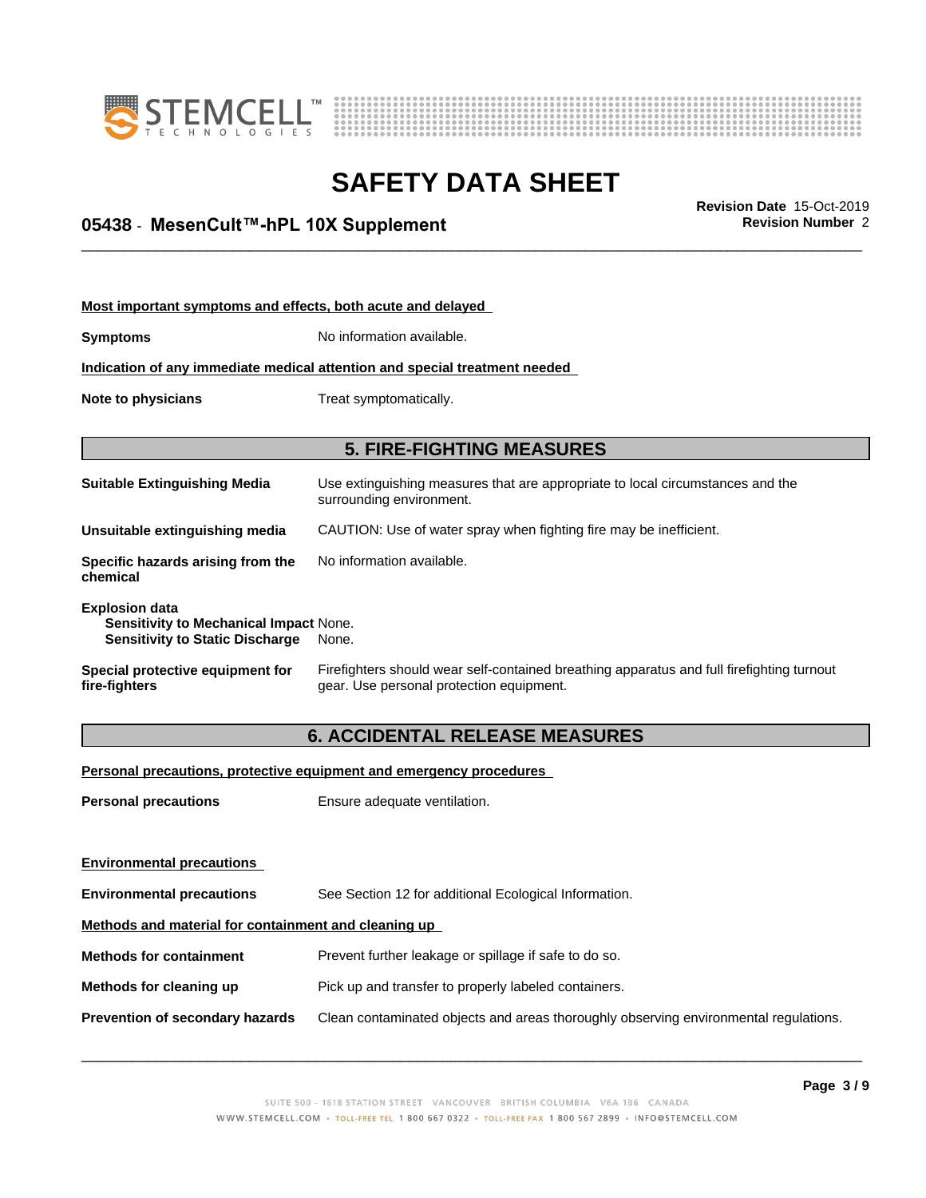



# \_\_\_\_\_\_\_\_\_\_\_\_\_\_\_\_\_\_\_\_\_\_\_\_\_\_\_\_\_\_\_\_\_\_\_\_\_\_\_\_\_\_\_\_\_\_\_\_\_\_\_\_\_\_\_\_\_\_\_\_\_\_\_\_\_\_\_\_\_\_\_\_\_\_\_\_\_\_\_\_\_\_\_\_\_\_\_\_\_\_\_\_\_ **Revision Date** 15-Oct-2019 **05438** - **MesenCult™-hPL10XSupplement Revision Number** 2

| Most important symptoms and effects, both acute and delayed                                               |                                                                                                                                       |  |
|-----------------------------------------------------------------------------------------------------------|---------------------------------------------------------------------------------------------------------------------------------------|--|
| Symptoms                                                                                                  | No information available.                                                                                                             |  |
|                                                                                                           | Indication of any immediate medical attention and special treatment needed                                                            |  |
| Note to physicians                                                                                        | Treat symptomatically.                                                                                                                |  |
|                                                                                                           |                                                                                                                                       |  |
|                                                                                                           | <b>5. FIRE-FIGHTING MEASURES</b>                                                                                                      |  |
| <b>Suitable Extinguishing Media</b>                                                                       | Use extinguishing measures that are appropriate to local circumstances and the<br>surrounding environment.                            |  |
| Unsuitable extinguishing media                                                                            | CAUTION: Use of water spray when fighting fire may be inefficient.                                                                    |  |
| Specific hazards arising from the<br>chemical                                                             | No information available.                                                                                                             |  |
| <b>Explosion data</b><br>Sensitivity to Mechanical Impact None.<br><b>Sensitivity to Static Discharge</b> | None.                                                                                                                                 |  |
| Special protective equipment for<br>fire-fighters                                                         | Firefighters should wear self-contained breathing apparatus and full firefighting turnout<br>gear. Use personal protection equipment. |  |

### **6. ACCIDENTAL RELEASE MEASURES**

**Personal precautions, protective equipment and emergency procedures**

**Personal precautions** Ensure adequate ventilation.

| <b>Environmental precautions</b>                     |                                                                                      |  |  |
|------------------------------------------------------|--------------------------------------------------------------------------------------|--|--|
| <b>Environmental precautions</b>                     | See Section 12 for additional Ecological Information.                                |  |  |
| Methods and material for containment and cleaning up |                                                                                      |  |  |
| <b>Methods for containment</b>                       | Prevent further leakage or spillage if safe to do so.                                |  |  |
| Methods for cleaning up                              | Pick up and transfer to properly labeled containers.                                 |  |  |
| Prevention of secondary hazards                      | Clean contaminated objects and areas thoroughly observing environmental regulations. |  |  |
|                                                      |                                                                                      |  |  |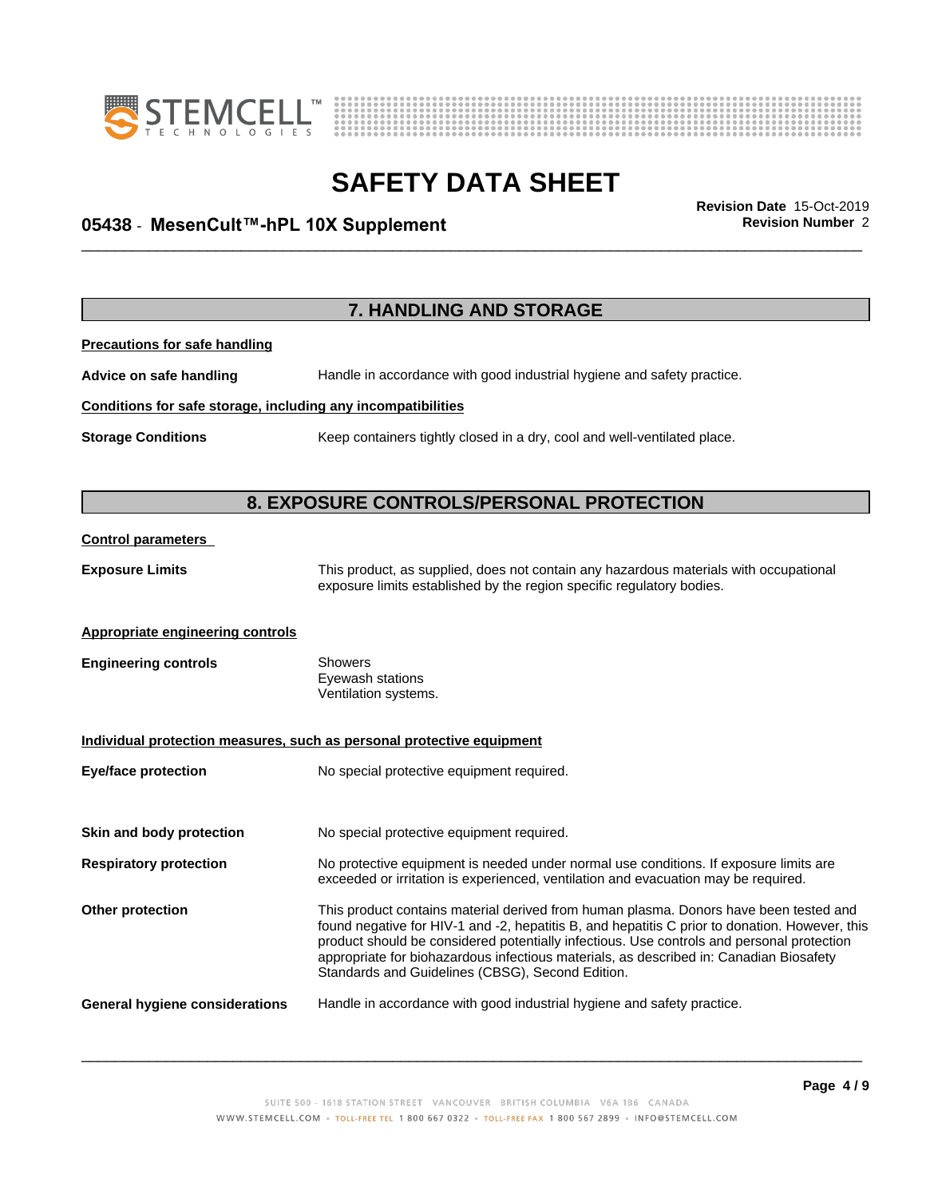



# \_\_\_\_\_\_\_\_\_\_\_\_\_\_\_\_\_\_\_\_\_\_\_\_\_\_\_\_\_\_\_\_\_\_\_\_\_\_\_\_\_\_\_\_\_\_\_\_\_\_\_\_\_\_\_\_\_\_\_\_\_\_\_\_\_\_\_\_\_\_\_\_\_\_\_\_\_\_\_\_\_\_\_\_\_\_\_\_\_\_\_\_\_ **Revision Date** 15-Oct-2019 **05438** - **MesenCult™-hPL10XSupplement Revision Number** 2

|                                                              | 7. HANDLING AND STORAGE                                                                                                                                                                                                                                                                                                                                                                                                            |  |
|--------------------------------------------------------------|------------------------------------------------------------------------------------------------------------------------------------------------------------------------------------------------------------------------------------------------------------------------------------------------------------------------------------------------------------------------------------------------------------------------------------|--|
| <b>Precautions for safe handling</b>                         |                                                                                                                                                                                                                                                                                                                                                                                                                                    |  |
| Advice on safe handling                                      | Handle in accordance with good industrial hygiene and safety practice.                                                                                                                                                                                                                                                                                                                                                             |  |
| Conditions for safe storage, including any incompatibilities |                                                                                                                                                                                                                                                                                                                                                                                                                                    |  |
| <b>Storage Conditions</b>                                    | Keep containers tightly closed in a dry, cool and well-ventilated place.                                                                                                                                                                                                                                                                                                                                                           |  |
| 8. EXPOSURE CONTROLS/PERSONAL PROTECTION                     |                                                                                                                                                                                                                                                                                                                                                                                                                                    |  |
| <b>Control parameters</b>                                    |                                                                                                                                                                                                                                                                                                                                                                                                                                    |  |
| <b>Exposure Limits</b>                                       | This product, as supplied, does not contain any hazardous materials with occupational<br>exposure limits established by the region specific regulatory bodies.                                                                                                                                                                                                                                                                     |  |
| <b>Appropriate engineering controls</b>                      |                                                                                                                                                                                                                                                                                                                                                                                                                                    |  |
| <b>Engineering controls</b>                                  | <b>Showers</b><br>Eyewash stations<br>Ventilation systems.                                                                                                                                                                                                                                                                                                                                                                         |  |
|                                                              | Individual protection measures, such as personal protective equipment                                                                                                                                                                                                                                                                                                                                                              |  |
| <b>Eye/face protection</b>                                   | No special protective equipment required.                                                                                                                                                                                                                                                                                                                                                                                          |  |
| Skin and body protection                                     | No special protective equipment required.                                                                                                                                                                                                                                                                                                                                                                                          |  |
| <b>Respiratory protection</b>                                | No protective equipment is needed under normal use conditions. If exposure limits are<br>exceeded or irritation is experienced, ventilation and evacuation may be required.                                                                                                                                                                                                                                                        |  |
| Other protection                                             | This product contains material derived from human plasma. Donors have been tested and<br>found negative for HIV-1 and -2, hepatitis B, and hepatitis C prior to donation. However, this<br>product should be considered potentially infectious. Use controls and personal protection<br>appropriate for biohazardous infectious materials, as described in: Canadian Biosafety<br>Standards and Guidelines (CBSG), Second Edition. |  |
| <b>General hygiene considerations</b>                        | Handle in accordance with good industrial hygiene and safety practice.                                                                                                                                                                                                                                                                                                                                                             |  |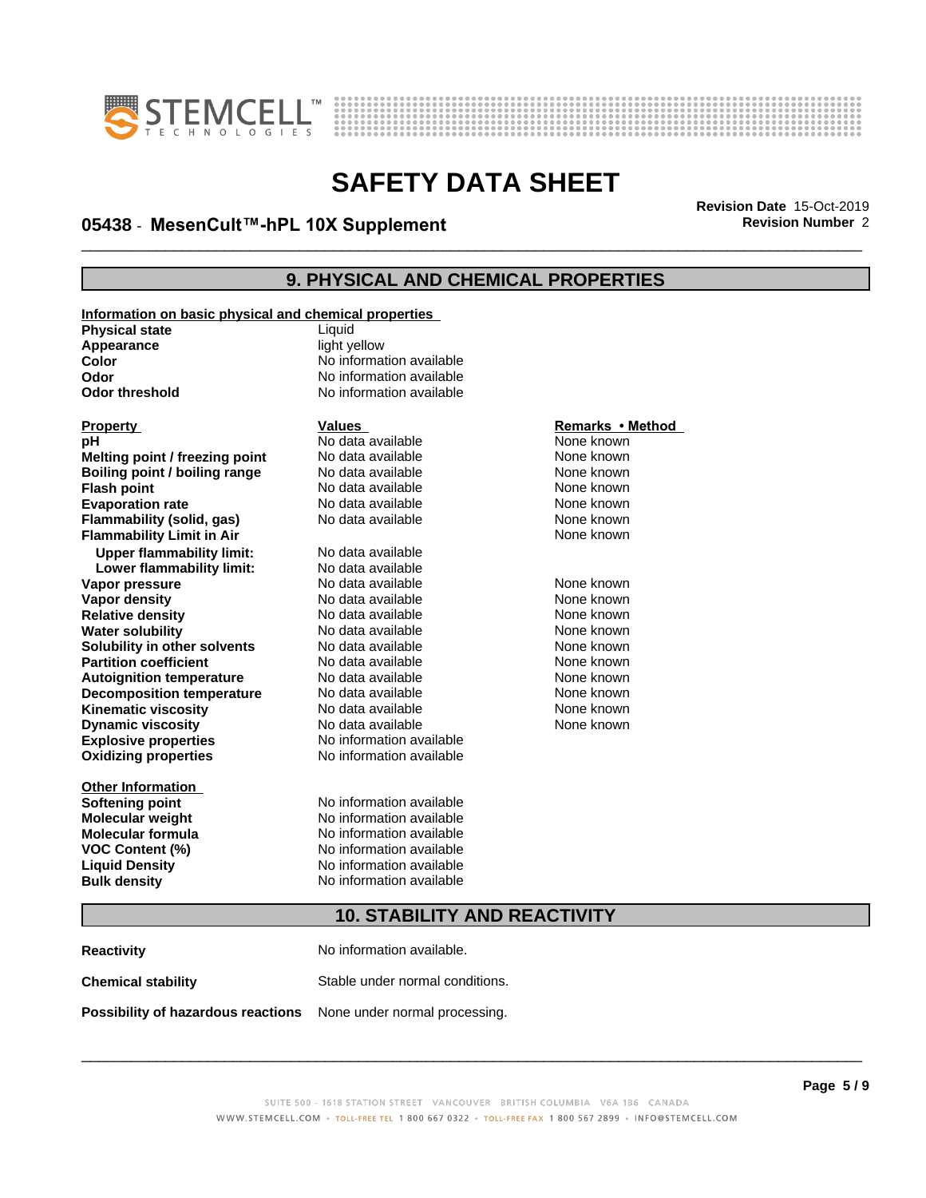



# \_\_\_\_\_\_\_\_\_\_\_\_\_\_\_\_\_\_\_\_\_\_\_\_\_\_\_\_\_\_\_\_\_\_\_\_\_\_\_\_\_\_\_\_\_\_\_\_\_\_\_\_\_\_\_\_\_\_\_\_\_\_\_\_\_\_\_\_\_\_\_\_\_\_\_\_\_\_\_\_\_\_\_\_\_\_\_\_\_\_\_\_\_ **Revision Date** 15-Oct-2019 **05438** - **MesenCult™-hPL10XSupplement Revision Number** 2

### **9. PHYSICAL AND CHEMICAL PROPERTIES**

**Information on basic physical and chemical properties**

**Physical state** Liquid **Appearance** light yellow

**Explosive properties**<br> **Oxidizing properties**<br>
No information available **Oxidizing properties Melting point / freezing point** No data available None known<br> **Boiling point / boiling range** No data available None known **Boiling point / boiling range** No data available None known<br> **Flash point None known**<br>
No data available None known **Flash point** No data available **Evaporation rate** *rate* No data available **None known Flammability (solid, gas)** No data available None known **Flammability Limit in Air None known None known Upper flammability limit:** No data available **Lower flammability limit:** No data available **Vapor pressure** 1980 in the Modata available 1980 in the None known<br> **Vapor density** 1980 in the None Known None known in the None known None known **Vapor density No data available and the Choice of Choice Algebra 2016** None known<br> **Relative density No data available None known Relative density Water solubility No data available None known Solubility in other solvents** No data available None known **Partition coefficient**<br> **Autoignition temperature**<br>
No data available None Known<br>
None known **Autoignition temperature** Mo data available Mone known<br> **Decomposition temperature** No data available None known **Decomposition temperature** No data available None known<br> **Kinematic viscosity** No data available None known **Kinematic viscosity** No data available<br> **Dynamic viscosity** No data available **Dynamic** viscosity

**Other Information**

# **Color** No information available **Odor Odor** No information available<br> **Odor threshold No information available No information available**

**PH** No data available **None known**<br>
No data available None known

**Softening point** No information available **Molecular weight** No information available **Molecular formula** No information available **VOC Content (%)** No information available **Liquid Density No information available Bulk density** No information available

# **Property Calles Values Values**<br> **Property Remarks • Method**<br> **PRICION CONTRACTE INTERET ACCOUNT ACCOUNT ACCOUNT ACCOUNT ACCOUNT ACCOUNT ACCOUNT ACCOUNT ACCOUNT ACCOUNT ACCOUNT ACCOUNT ACCOUNT ACCOUNT ACCOUNT ACCOUNT ACC**

None known

### **10. STABILITY AND REACTIVITY**

**Reactivity** No information available. **Chemical stability** Stable under normal conditions. **Possibility of hazardous reactions** None under normal processing.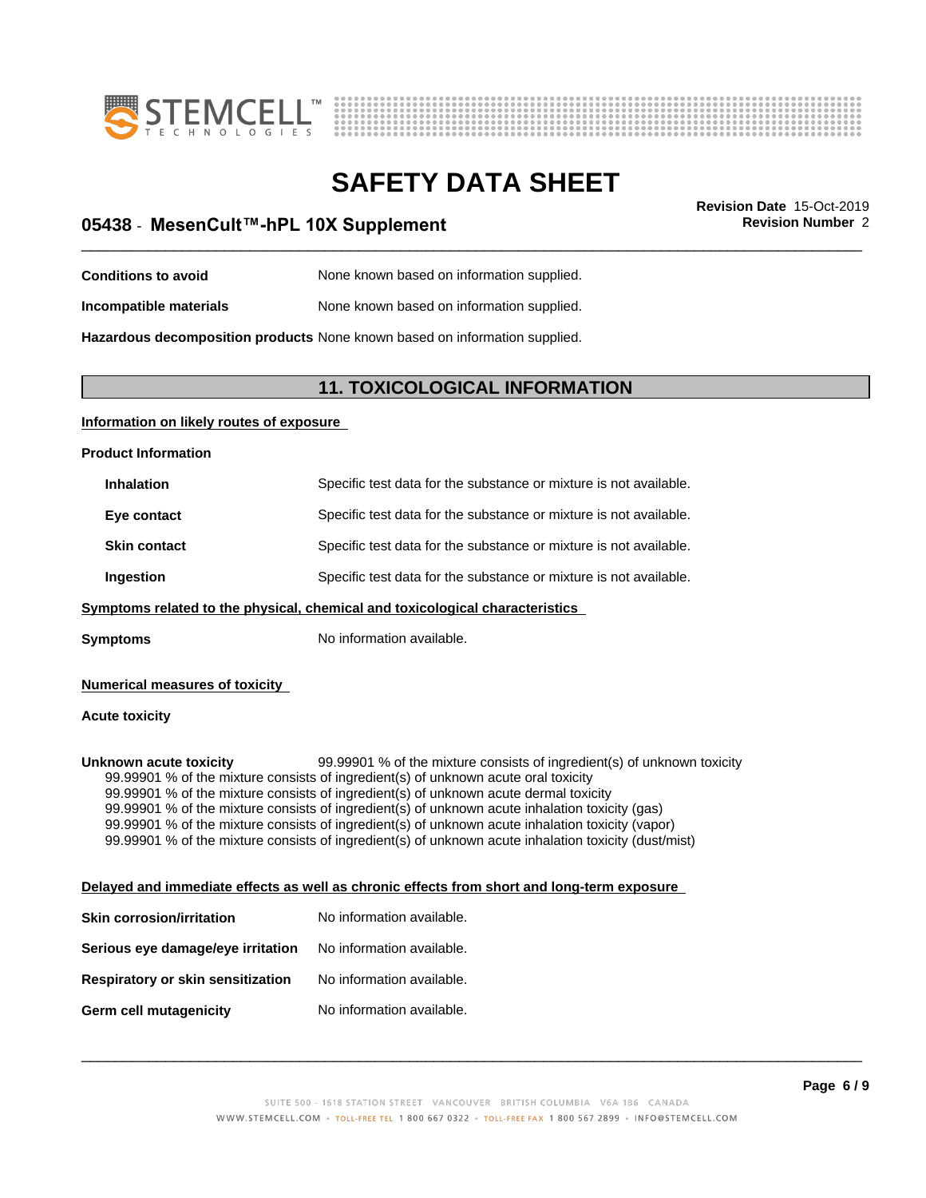



# \_\_\_\_\_\_\_\_\_\_\_\_\_\_\_\_\_\_\_\_\_\_\_\_\_\_\_\_\_\_\_\_\_\_\_\_\_\_\_\_\_\_\_\_\_\_\_\_\_\_\_\_\_\_\_\_\_\_\_\_\_\_\_\_\_\_\_\_\_\_\_\_\_\_\_\_\_\_\_\_\_\_\_\_\_\_\_\_\_\_\_\_\_ **Revision Date** 15-Oct-2019 **05438** - **MesenCult™-hPL10XSupplement Revision Number** 2

| <b>Conditions to avoid</b> | None known based on information supplied. |
|----------------------------|-------------------------------------------|
|                            |                                           |

**Incompatible materials** None known based on information supplied.

**Hazardous decomposition products** None known based on information supplied.

### **11. TOXICOLOGICAL INFORMATION**

### **Information on likely routes of exposure**

**Product Information**

| <b>Inhalation</b>   | Specific test data for the substance or mixture is not available. |
|---------------------|-------------------------------------------------------------------|
| Eye contact         | Specific test data for the substance or mixture is not available. |
| <b>Skin contact</b> | Specific test data for the substance or mixture is not available. |
| Ingestion           | Specific test data for the substance or mixture is not available. |

### **<u>Symptoms related to the physical, chemical and toxicological characteristics</u>**

**Symptoms** No information available.

### **Numerical measures of toxicity**

### **Acute toxicity**

**Unknown acute toxicity** 99.99901 % of the mixture consists of ingredient(s) of unknown toxicity 99.99901 % of the mixture consists of ingredient(s) of unknown acute oral toxicity 99.99901 % of the mixture consists of ingredient(s) of unknown acute dermal toxicity 99.99901 % of the mixture consists of ingredient(s) of unknown acute inhalation toxicity (gas) 99.99901 % of the mixture consists of ingredient(s) of unknown acute inhalation toxicity (vapor) 99.99901 % of the mixture consists of ingredient(s) of unknown acute inhalation toxicity (dust/mist)

### **Delayed and immediate effects as well as chronic effects from short and long-term exposure**

| Skin corrosion/irritation         | No information available. |
|-----------------------------------|---------------------------|
| Serious eye damage/eye irritation | No information available. |
| Respiratory or skin sensitization | No information available. |
| Germ cell mutagenicity            | No information available. |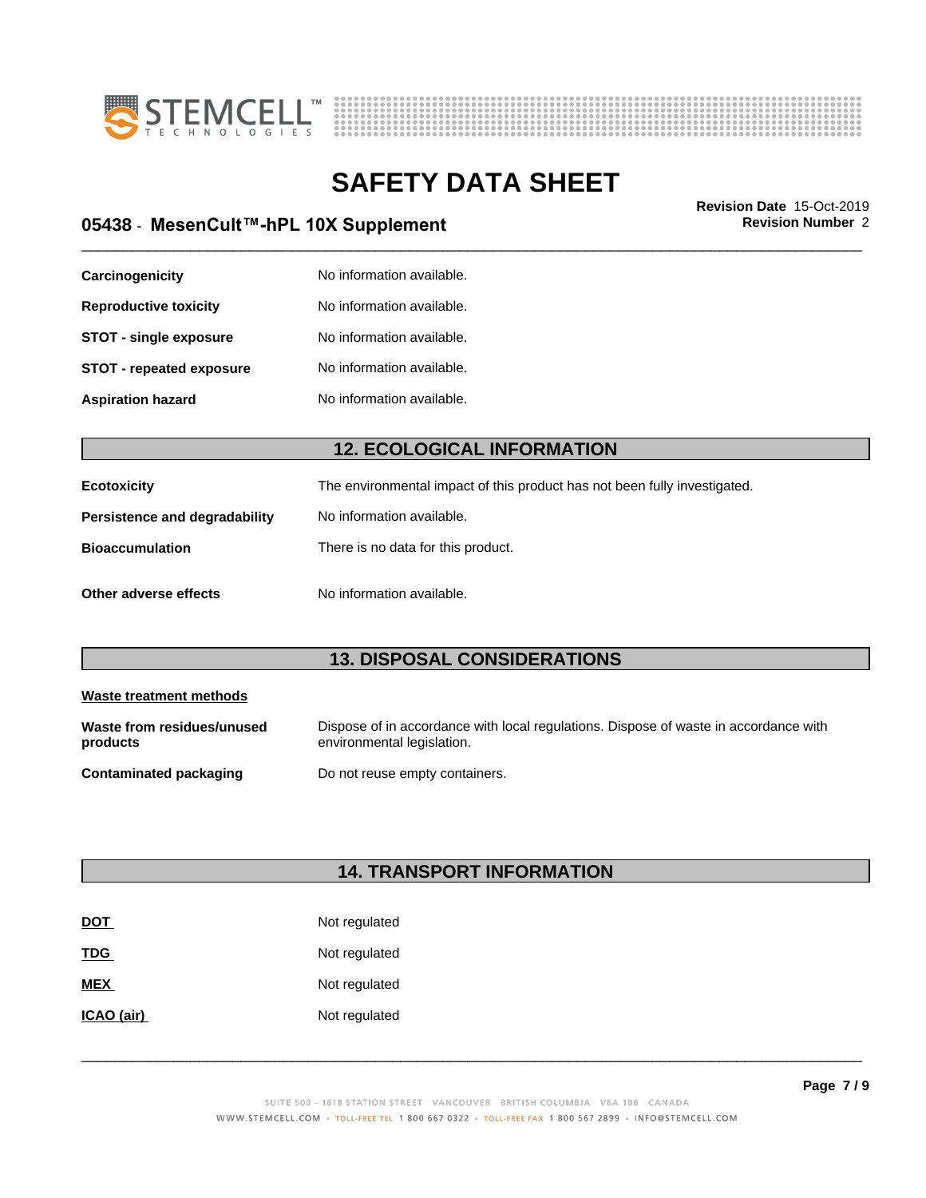



# \_\_\_\_\_\_\_\_\_\_\_\_\_\_\_\_\_\_\_\_\_\_\_\_\_\_\_\_\_\_\_\_\_\_\_\_\_\_\_\_\_\_\_\_\_\_\_\_\_\_\_\_\_\_\_\_\_\_\_\_\_\_\_\_\_\_\_\_\_\_\_\_\_\_\_\_\_\_\_\_\_\_\_\_\_\_\_\_\_\_\_\_\_ **Revision Date** 15-Oct-2019 **05438** - **MesenCult™-hPL10XSupplement Revision Number** 2

| Carcinogenicity                 | No information available. |
|---------------------------------|---------------------------|
| <b>Reproductive toxicity</b>    | No information available. |
| <b>STOT - single exposure</b>   | No information available. |
| <b>STOT - repeated exposure</b> | No information available. |
| <b>Aspiration hazard</b>        | No information available. |

### **12. ECOLOGICAL INFORMATION**

| Ecotoxicity                   | The environmental impact of this product has not been fully investigated. |
|-------------------------------|---------------------------------------------------------------------------|
| Persistence and degradability | No information available.                                                 |
| <b>Bioaccumulation</b>        | There is no data for this product.                                        |
| Other adverse effects         | No information available.                                                 |

### **13. DISPOSAL CONSIDERATIONS**

| Waste treatment methods                |                                                                                                                    |  |
|----------------------------------------|--------------------------------------------------------------------------------------------------------------------|--|
| Waste from residues/unused<br>products | Dispose of in accordance with local regulations. Dispose of waste in accordance with<br>environmental legislation. |  |
| Contaminated packaging                 | Do not reuse empty containers.                                                                                     |  |

### **14. TRANSPORT INFORMATION**

| <b>DOT</b> | Not regulated |
|------------|---------------|
| <b>TDG</b> | Not regulated |
| <b>MEX</b> | Not regulated |
| ICAO (air) | Not regulated |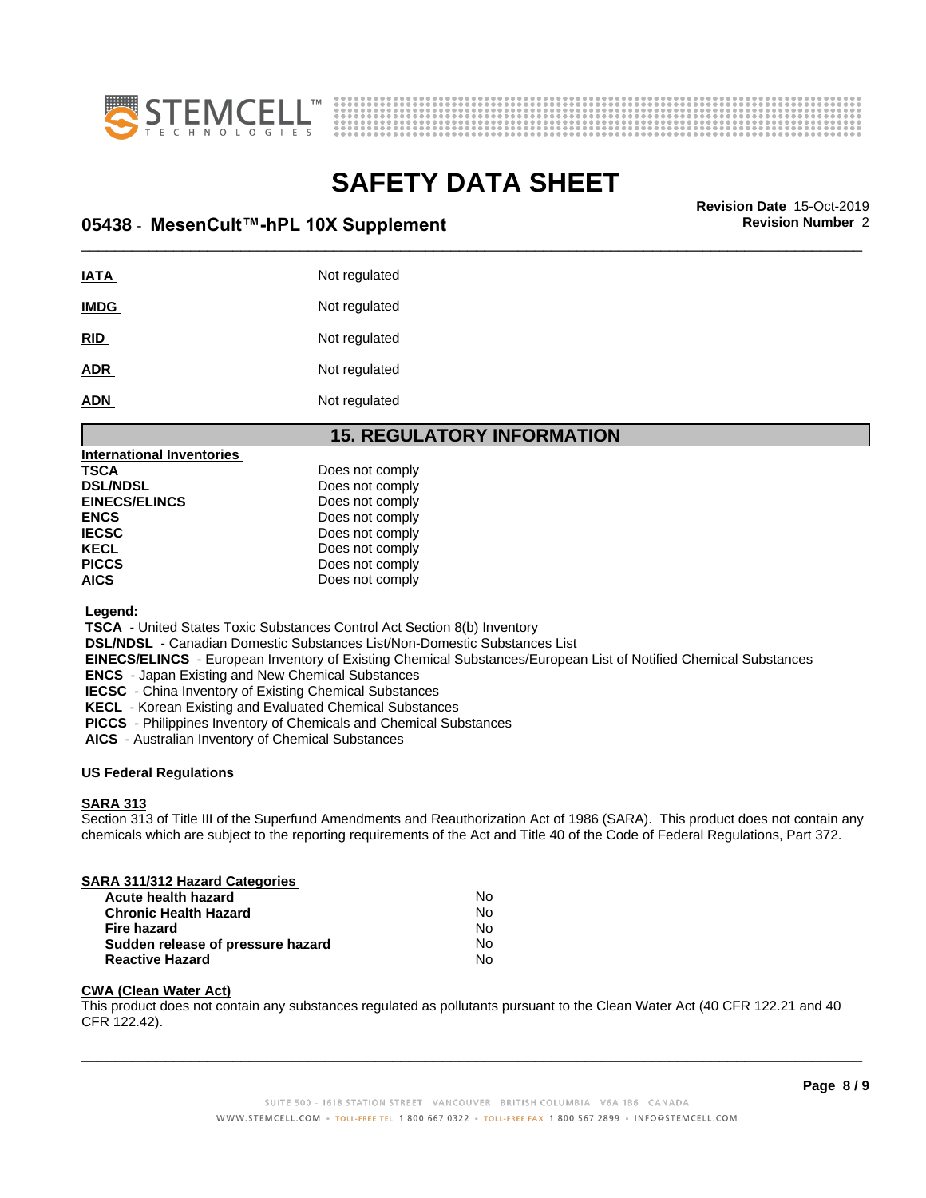



# **SAFETY DATA SHEET**<br>Revision Date 15-Oct-2019

# \_\_\_\_\_\_\_\_\_\_\_\_\_\_\_\_\_\_\_\_\_\_\_\_\_\_\_\_\_\_\_\_\_\_\_\_\_\_\_\_\_\_\_\_\_\_\_\_\_\_\_\_\_\_\_\_\_\_\_\_\_\_\_\_\_\_\_\_\_\_\_\_\_\_\_\_\_\_\_\_\_\_\_\_\_\_\_\_\_\_\_\_\_ **Revision Date** 15-Oct-2019 **05438** - **MesenCult™-hPL10XSupplement Revision Number** 2

| <b>IATA</b> | Not regulated |
|-------------|---------------|
| <b>IMDG</b> | Not regulated |
| RID         | Not regulated |
| <b>ADR</b>  | Not regulated |
| <b>ADN</b>  | Not regulated |

### **15. REGULATORY INFORMATION**

| <b>International Inventories</b> |                 |
|----------------------------------|-----------------|
| TSCA                             | Does not comply |
| <b>DSL/NDSL</b>                  | Does not comply |
| <b>EINECS/ELINCS</b>             | Does not comply |
| ENCS                             | Does not comply |
| IECSC                            | Does not comply |
| KECL                             | Does not comply |
| PICCS                            | Does not comply |
| AICS                             | Does not comply |
|                                  |                 |

 **Legend:**

 **TSCA** - United States Toxic Substances Control Act Section 8(b) Inventory

 **DSL/NDSL** - Canadian Domestic Substances List/Non-Domestic Substances List

 **EINECS/ELINCS** - European Inventory of Existing Chemical Substances/European List of Notified Chemical Substances

 **ENCS** - Japan Existing and New Chemical Substances

 **IECSC** - China Inventory of Existing Chemical Substances

 **KECL** - Korean Existing and Evaluated Chemical Substances

 **PICCS** - Philippines Inventory of Chemicals and Chemical Substances

 **AICS** - Australian Inventory of Chemical Substances

### **US Federal Regulations**

### **SARA 313**

Section 313 of Title III of the Superfund Amendments and Reauthorization Act of 1986 (SARA). This product does not contain any chemicals which are subject to the reporting requirements of the Act and Title 40 of the Code of Federal Regulations, Part 372.

### **SARA 311/312 Hazard Categories**

| <b>Acute health hazard</b>        | N٥ |
|-----------------------------------|----|
| <b>Chronic Health Hazard</b>      | No |
| Fire hazard                       | N٥ |
| Sudden release of pressure hazard | N٥ |
| <b>Reactive Hazard</b>            | Nο |

### **CWA (Clean WaterAct)**

This product does not contain any substances regulated as pollutants pursuant to the Clean Water Act (40 CFR 122.21 and 40 CFR 122.42).